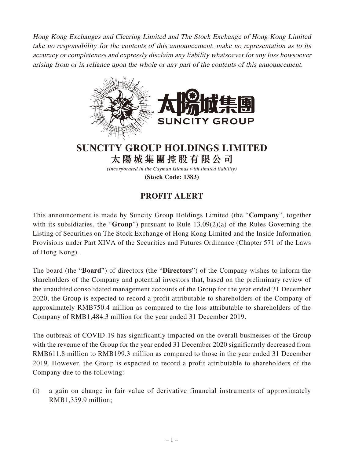Hong Kong Exchanges and Clearing Limited and The Stock Exchange of Hong Kong Limited take no responsibility for the contents of this announcement, make no representation as to its accuracy or completeness and expressly disclaim any liability whatsoever for any loss howsoever arising from or in reliance upon the whole or any part of the contents of this announcement.



**SUNCITY GROUP HOLDINGS LIMITED 太陽城集團控股有限公司**

*(Incorporated in the Cayman Islands with limited liability)*

**(Stock Code: 1383)**

## **PROFIT ALERT**

This announcement is made by Suncity Group Holdings Limited (the "**Company**", together with its subsidiaries, the "**Group**") pursuant to Rule 13.09(2)(a) of the Rules Governing the Listing of Securities on The Stock Exchange of Hong Kong Limited and the Inside Information Provisions under Part XIVA of the Securities and Futures Ordinance (Chapter 571 of the Laws of Hong Kong).

The board (the "**Board**") of directors (the "**Directors**") of the Company wishes to inform the shareholders of the Company and potential investors that, based on the preliminary review of the unaudited consolidated management accounts of the Group for the year ended 31 December 2020, the Group is expected to record a profit attributable to shareholders of the Company of approximately RMB750.4 million as compared to the loss attributable to shareholders of the Company of RMB1,484.3 million for the year ended 31 December 2019.

The outbreak of COVID-19 has significantly impacted on the overall businesses of the Group with the revenue of the Group for the year ended 31 December 2020 significantly decreased from RMB611.8 million to RMB199.3 million as compared to those in the year ended 31 December 2019. However, the Group is expected to record a profit attributable to shareholders of the Company due to the following:

(i) a gain on change in fair value of derivative financial instruments of approximately RMB1,359.9 million;